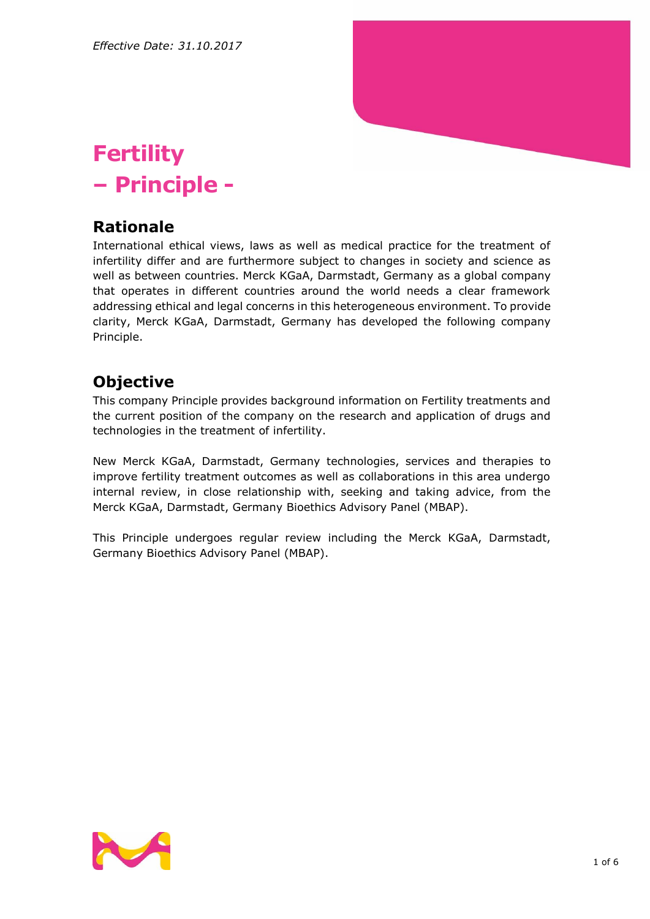

# **Fertility – Principle -**

#### **Rationale**

International ethical views, laws as well as medical practice for the treatment of infertility differ and are furthermore subject to changes in society and science as well as between countries. Merck KGaA, Darmstadt, Germany as a global company that operates in different countries around the world needs a clear framework addressing ethical and legal concerns in this heterogeneous environment. To provide clarity, Merck KGaA, Darmstadt, Germany has developed the following company Principle.

### **Objective**

This company Principle provides background information on Fertility treatments and the current position of the company on the research and application of drugs and technologies in the treatment of infertility.

New Merck KGaA, Darmstadt, Germany technologies, services and therapies to improve fertility treatment outcomes as well as collaborations in this area undergo internal review, in close relationship with, seeking and taking advice, from the Merck KGaA, Darmstadt, Germany Bioethics Advisory Panel (MBAP).

This Principle undergoes regular review including the Merck KGaA, Darmstadt, Germany Bioethics Advisory Panel (MBAP).

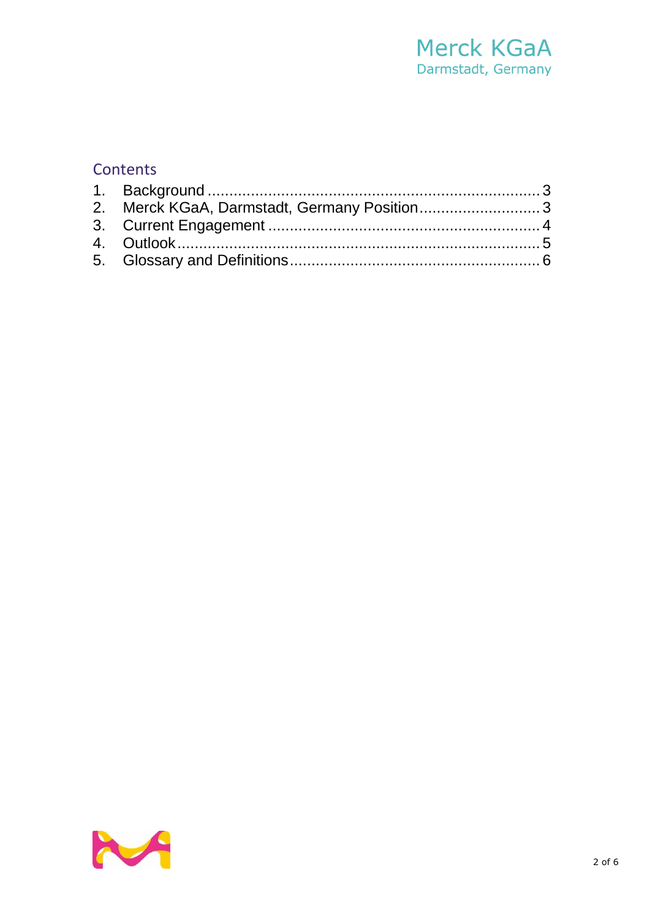## Merck KGaA Darmstadt, Germany

#### Contents

| 2. Merck KGaA, Darmstadt, Germany Position3 |  |
|---------------------------------------------|--|
|                                             |  |
|                                             |  |
|                                             |  |

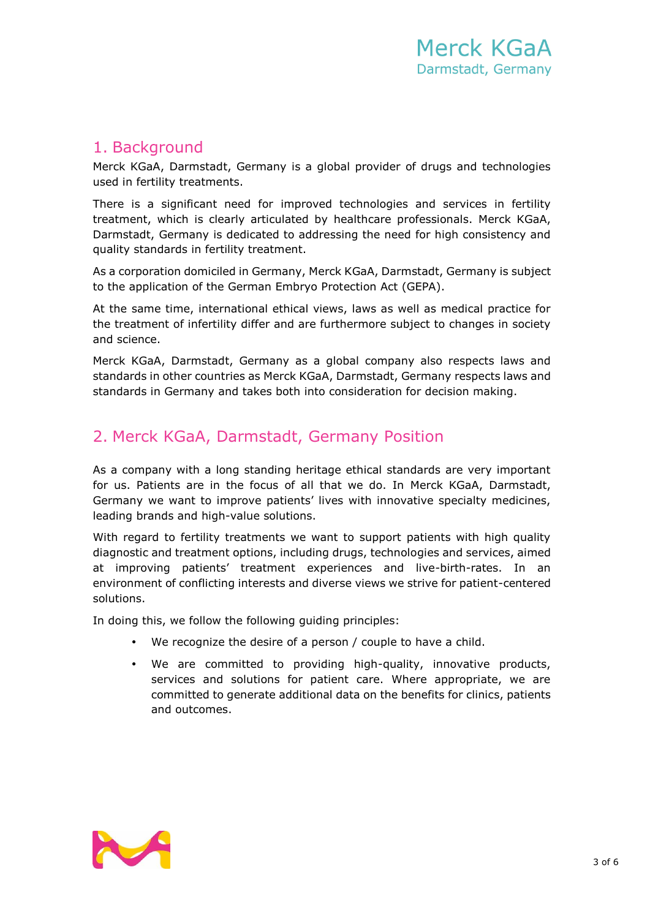#### <span id="page-2-0"></span>1. Background

Merck KGaA, Darmstadt, Germany is a global provider of drugs and technologies used in fertility treatments.

There is a significant need for improved technologies and services in fertility treatment, which is clearly articulated by healthcare professionals. Merck KGaA, Darmstadt, Germany is dedicated to addressing the need for high consistency and quality standards in fertility treatment.

As a corporation domiciled in Germany, Merck KGaA, Darmstadt, Germany is subject to the application of the German Embryo Protection Act (GEPA).

At the same time, international ethical views, laws as well as medical practice for the treatment of infertility differ and are furthermore subject to changes in society and science.

Merck KGaA, Darmstadt, Germany as a global company also respects laws and standards in other countries as Merck KGaA, Darmstadt, Germany respects laws and standards in Germany and takes both into consideration for decision making.

#### <span id="page-2-1"></span>2. Merck KGaA, Darmstadt, Germany Position

As a company with a long standing heritage ethical standards are very important for us. Patients are in the focus of all that we do. In Merck KGaA, Darmstadt, Germany we want to improve patients' lives with innovative specialty medicines, leading brands and high-value solutions.

With regard to fertility treatments we want to support patients with high quality diagnostic and treatment options, including drugs, technologies and services, aimed at improving patients' treatment experiences and live-birth-rates. In an environment of conflicting interests and diverse views we strive for patient-centered solutions.

In doing this, we follow the following guiding principles:

- We recognize the desire of a person / couple to have a child.
- We are committed to providing high-quality, innovative products, services and solutions for patient care. Where appropriate, we are committed to generate additional data on the benefits for clinics, patients and outcomes.

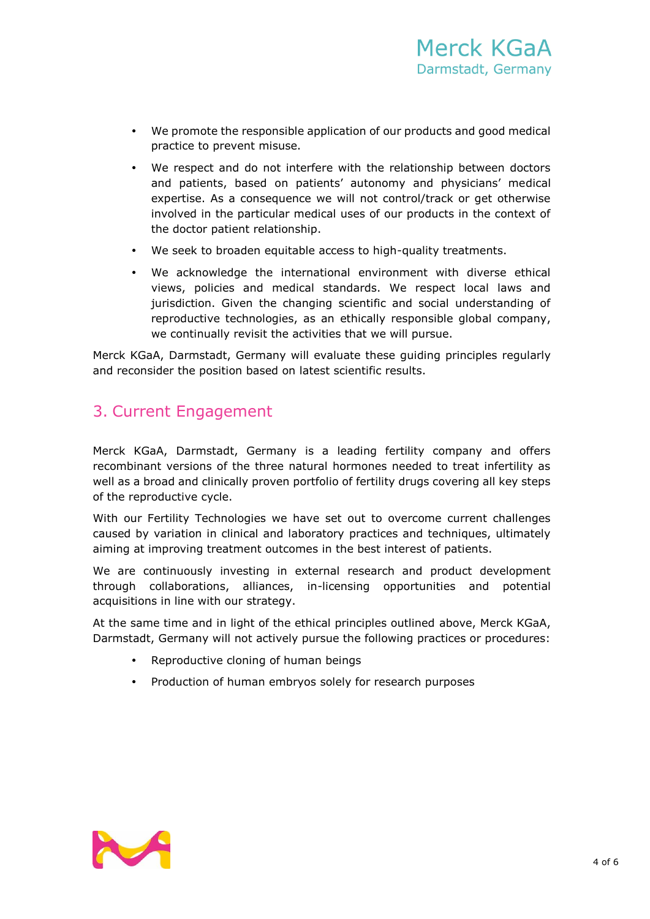- We promote the responsible application of our products and good medical practice to prevent misuse.
- We respect and do not interfere with the relationship between doctors and patients, based on patients' autonomy and physicians' medical expertise. As a consequence we will not control/track or get otherwise involved in the particular medical uses of our products in the context of the doctor patient relationship.
- We seek to broaden equitable access to high-quality treatments.
- We acknowledge the international environment with diverse ethical views, policies and medical standards. We respect local laws and jurisdiction. Given the changing scientific and social understanding of reproductive technologies, as an ethically responsible global company, we continually revisit the activities that we will pursue.

Merck KGaA, Darmstadt, Germany will evaluate these guiding principles regularly and reconsider the position based on latest scientific results.

#### <span id="page-3-0"></span>3. Current Engagement

Merck KGaA, Darmstadt, Germany is a leading fertility company and offers recombinant versions of the three natural hormones needed to treat infertility as well as a broad and clinically proven portfolio of fertility drugs covering all key steps of the reproductive cycle.

With our Fertility Technologies we have set out to overcome current challenges caused by variation in clinical and laboratory practices and techniques, ultimately aiming at improving treatment outcomes in the best interest of patients.

We are continuously investing in external research and product development through collaborations, alliances, in-licensing opportunities and potential acquisitions in line with our strategy.

At the same time and in light of the ethical principles outlined above, Merck KGaA, Darmstadt, Germany will not actively pursue the following practices or procedures:

- Reproductive cloning of human beings
- Production of human embryos solely for research purposes

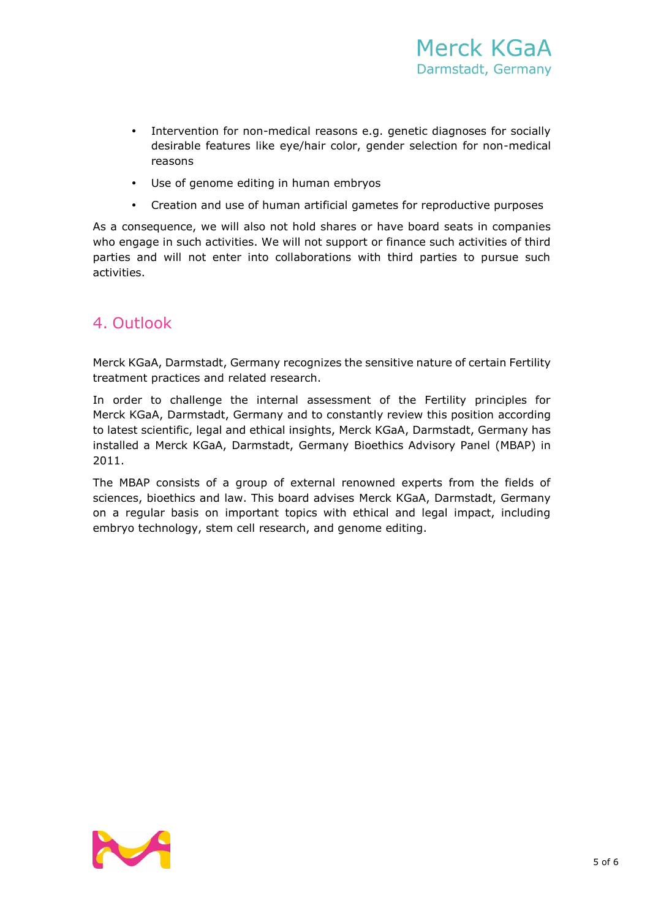- Intervention for non-medical reasons e.g. genetic diagnoses for socially desirable features like eye/hair color, gender selection for non-medical reasons
- Use of genome editing in human embryos
- Creation and use of human artificial gametes for reproductive purposes

As a consequence, we will also not hold shares or have board seats in companies who engage in such activities. We will not support or finance such activities of third parties and will not enter into collaborations with third parties to pursue such activities.

#### <span id="page-4-0"></span>4. Outlook

Merck KGaA, Darmstadt, Germany recognizes the sensitive nature of certain Fertility treatment practices and related research.

In order to challenge the internal assessment of the Fertility principles for Merck KGaA, Darmstadt, Germany and to constantly review this position according to latest scientific, legal and ethical insights, Merck KGaA, Darmstadt, Germany has installed a Merck KGaA, Darmstadt, Germany Bioethics Advisory Panel (MBAP) in 2011.

The MBAP consists of a group of external renowned experts from the fields of sciences, bioethics and law. This board advises Merck KGaA, Darmstadt, Germany on a regular basis on important topics with ethical and legal impact, including embryo technology, stem cell research, and genome editing.